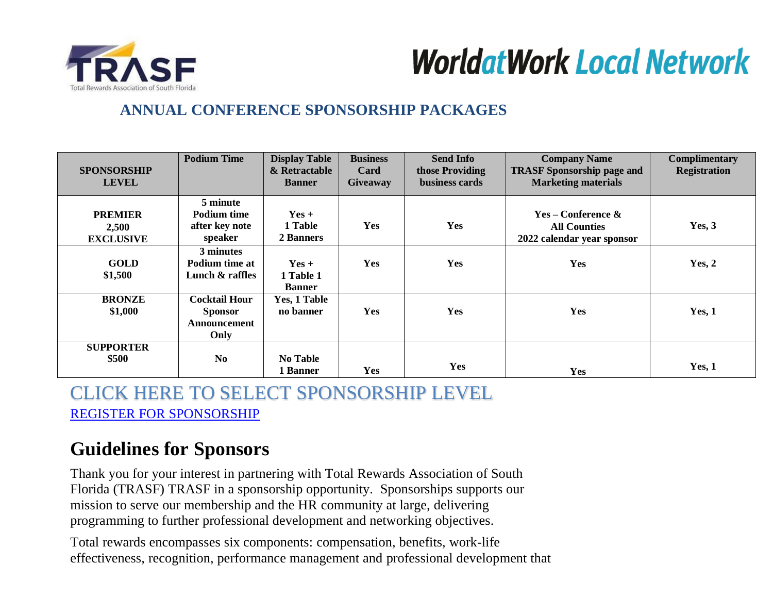



# **ANNUAL CONFERENCE SPONSORSHIP PACKAGES**

| <b>SPONSORSHIP</b><br><b>LEVEL</b>          | <b>Podium Time</b>                                             | <b>Display Table</b><br>& Retractable<br><b>Banner</b> | <b>Business</b><br>Card<br><b>Giveaway</b> | <b>Send Info</b><br>those Providing<br>business cards | <b>Company Name</b><br><b>TRASF Sponsorship page and</b><br><b>Marketing materials</b> | Complimentary<br><b>Registration</b> |
|---------------------------------------------|----------------------------------------------------------------|--------------------------------------------------------|--------------------------------------------|-------------------------------------------------------|----------------------------------------------------------------------------------------|--------------------------------------|
| <b>PREMIER</b><br>2,500<br><b>EXCLUSIVE</b> | 5 minute<br><b>Podium time</b><br>after key note<br>speaker    | $Yes +$<br>1 Table<br>2 Banners                        | Yes                                        | <b>Yes</b>                                            | $Yes - Conference &$<br><b>All Counties</b><br>2022 calendar year sponsor              | Yes, 3                               |
| <b>GOLD</b><br>\$1,500                      | 3 minutes<br>Podium time at<br>Lunch $\&$ raffles              | $Yes +$<br>1 Table 1<br><b>Banner</b>                  | Yes                                        | Yes                                                   | <b>Yes</b>                                                                             | Yes, 2                               |
| <b>BRONZE</b><br>\$1,000                    | <b>Cocktail Hour</b><br><b>Sponsor</b><br>Announcement<br>Only | Yes, 1 Table<br>no banner                              | Yes                                        | Yes                                                   | Yes                                                                                    | Yes, 1                               |
| <b>SUPPORTER</b><br>\$500                   | N <sub>0</sub>                                                 | No Table<br>1 Banner                                   | Yes                                        | Yes                                                   | Yes                                                                                    | Yes, 1                               |

CLICK HERE TO SELECT SPONSORSHIP LEVEL [REGISTER FOR SPONSORSHIP](https://trasf.org/Sponsorship/Vendor-Conference-Packages)

# **Guidelines for Sponsors**

Thank you for your interest in partnering with Total Rewards Association of South Florida (TRASF) TRASF in a sponsorship opportunity. Sponsorships supports our mission to serve our membership and the HR community at large, delivering programming to further professional development and networking objectives.

Total rewards encompasses six components: compensation, benefits, work-life effectiveness, recognition, performance management and professional development that